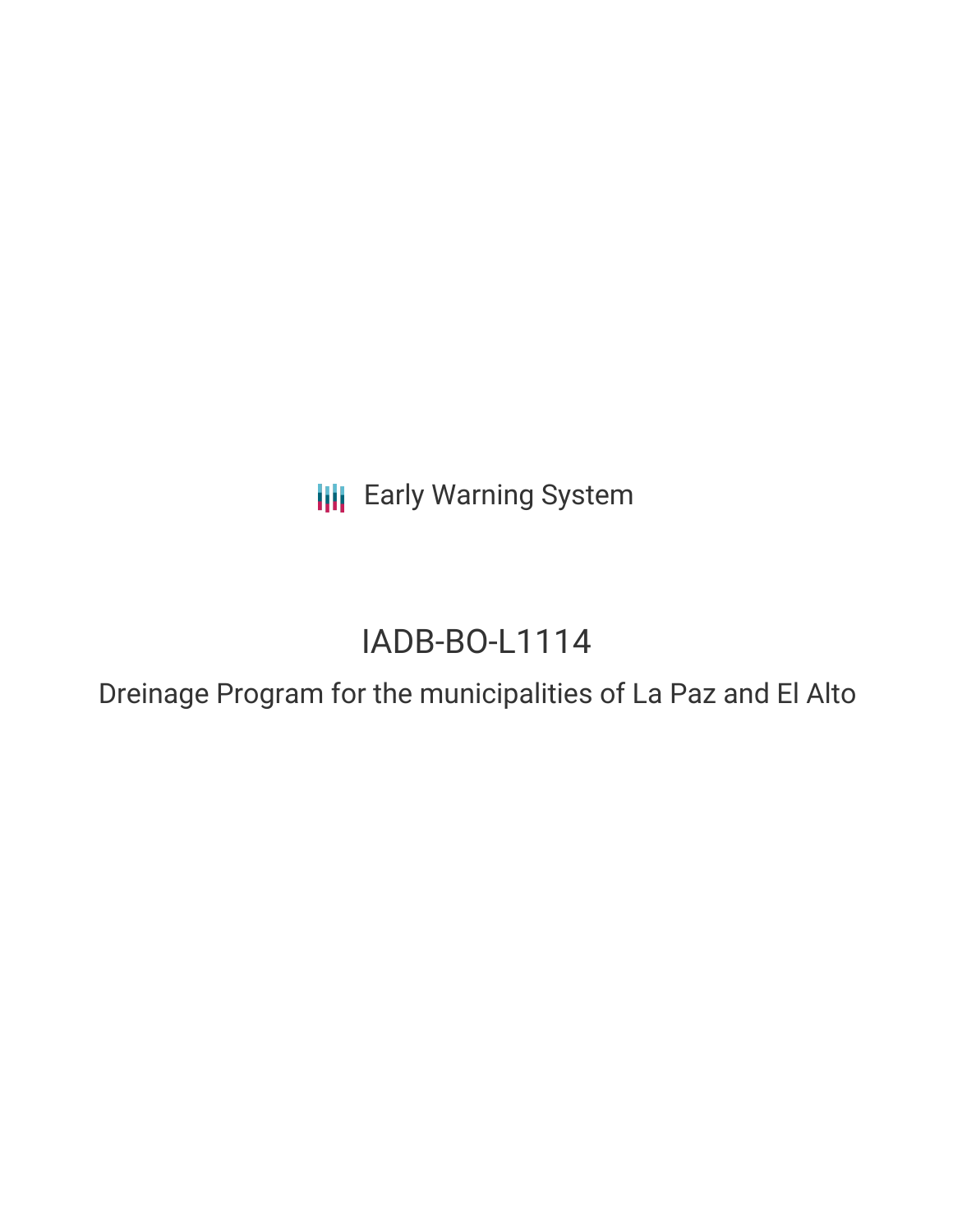**III** Early Warning System

# IADB-BO-L1114

Dreinage Program for the municipalities of La Paz and El Alto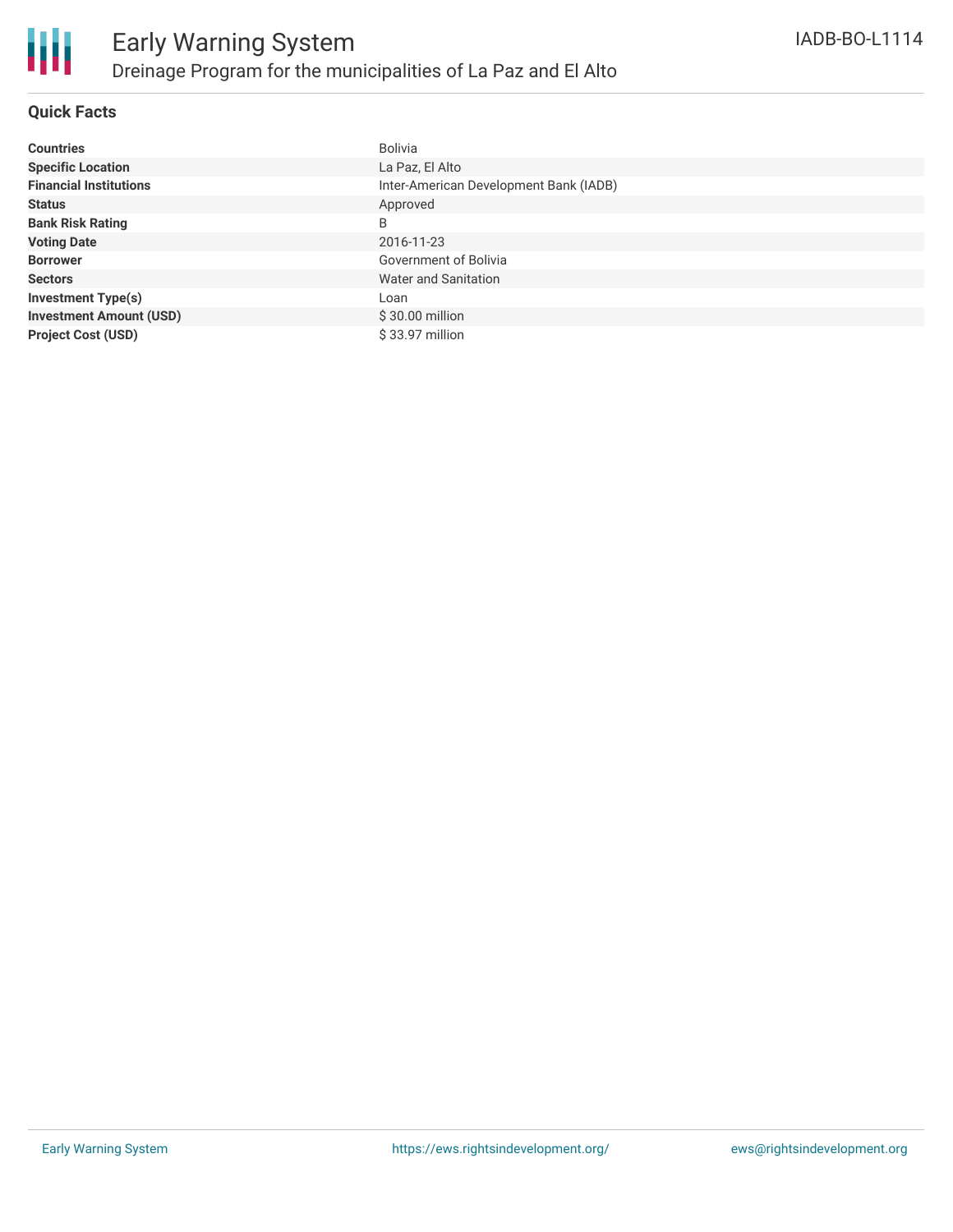# **Quick Facts**

| <b>Countries</b>               | Bolivia                                |
|--------------------------------|----------------------------------------|
| <b>Specific Location</b>       | La Paz, El Alto                        |
| <b>Financial Institutions</b>  | Inter-American Development Bank (IADB) |
| <b>Status</b>                  | Approved                               |
| <b>Bank Risk Rating</b>        | B                                      |
| <b>Voting Date</b>             | 2016-11-23                             |
| <b>Borrower</b>                | Government of Bolivia                  |
| <b>Sectors</b>                 | Water and Sanitation                   |
| <b>Investment Type(s)</b>      | Loan                                   |
| <b>Investment Amount (USD)</b> | $$30.00$ million                       |
| <b>Project Cost (USD)</b>      | \$33.97 million                        |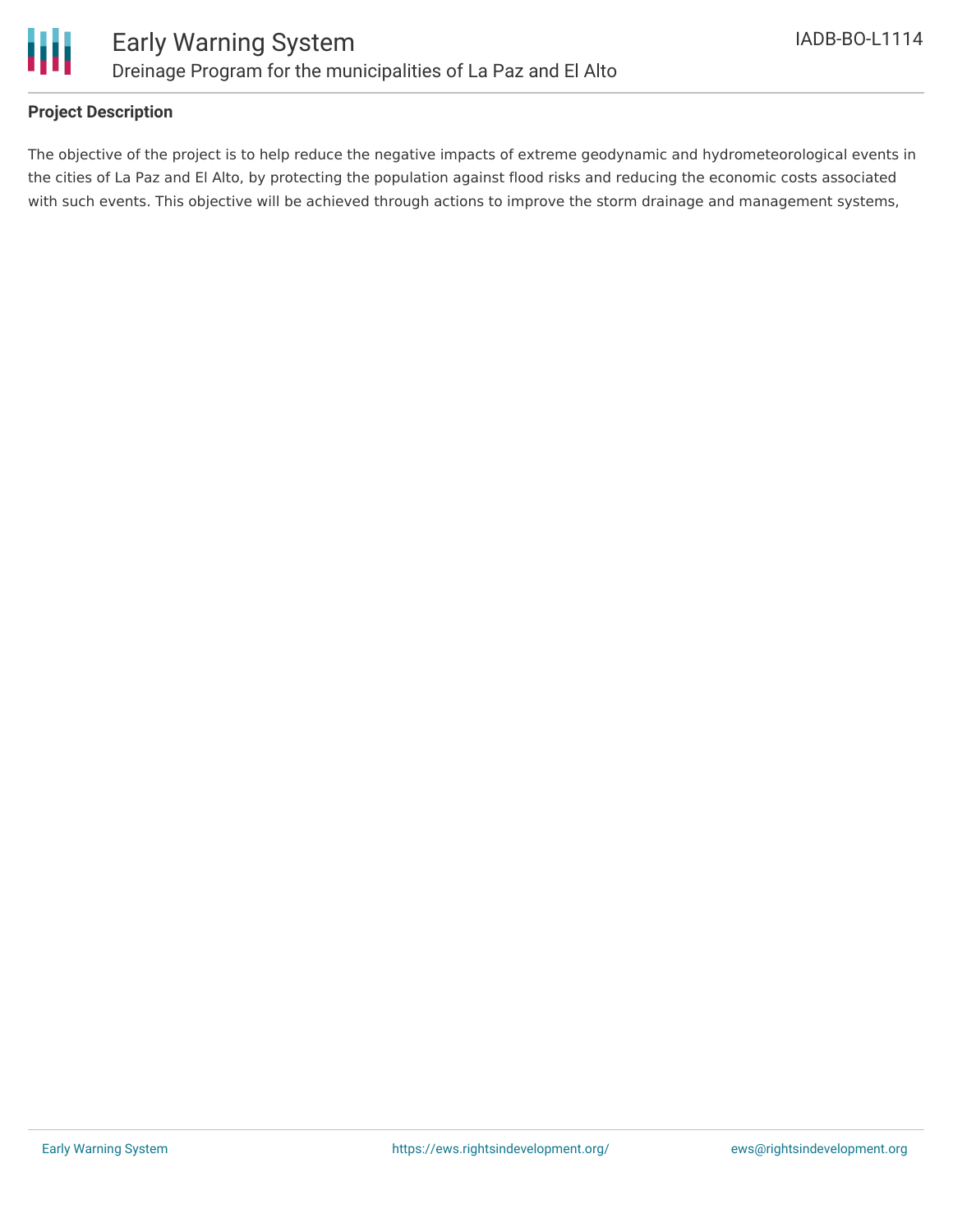

# **Project Description**

The objective of the project is to help reduce the negative impacts of extreme geodynamic and hydrometeorological events in the cities of La Paz and El Alto, by protecting the population against flood risks and reducing the economic costs associated with such events. This objective will be achieved through actions to improve the storm drainage and management systems,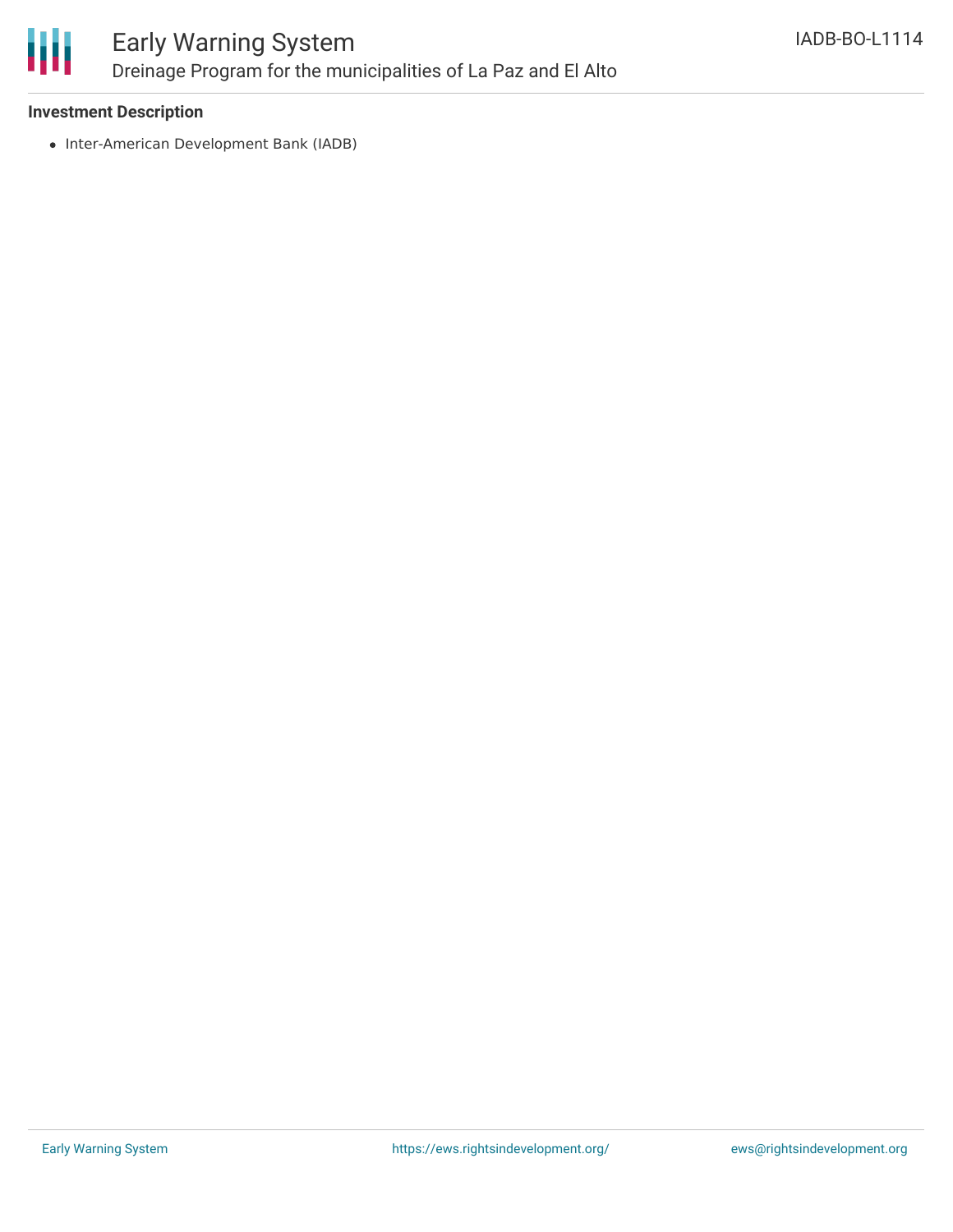

### **Investment Description**

• Inter-American Development Bank (IADB)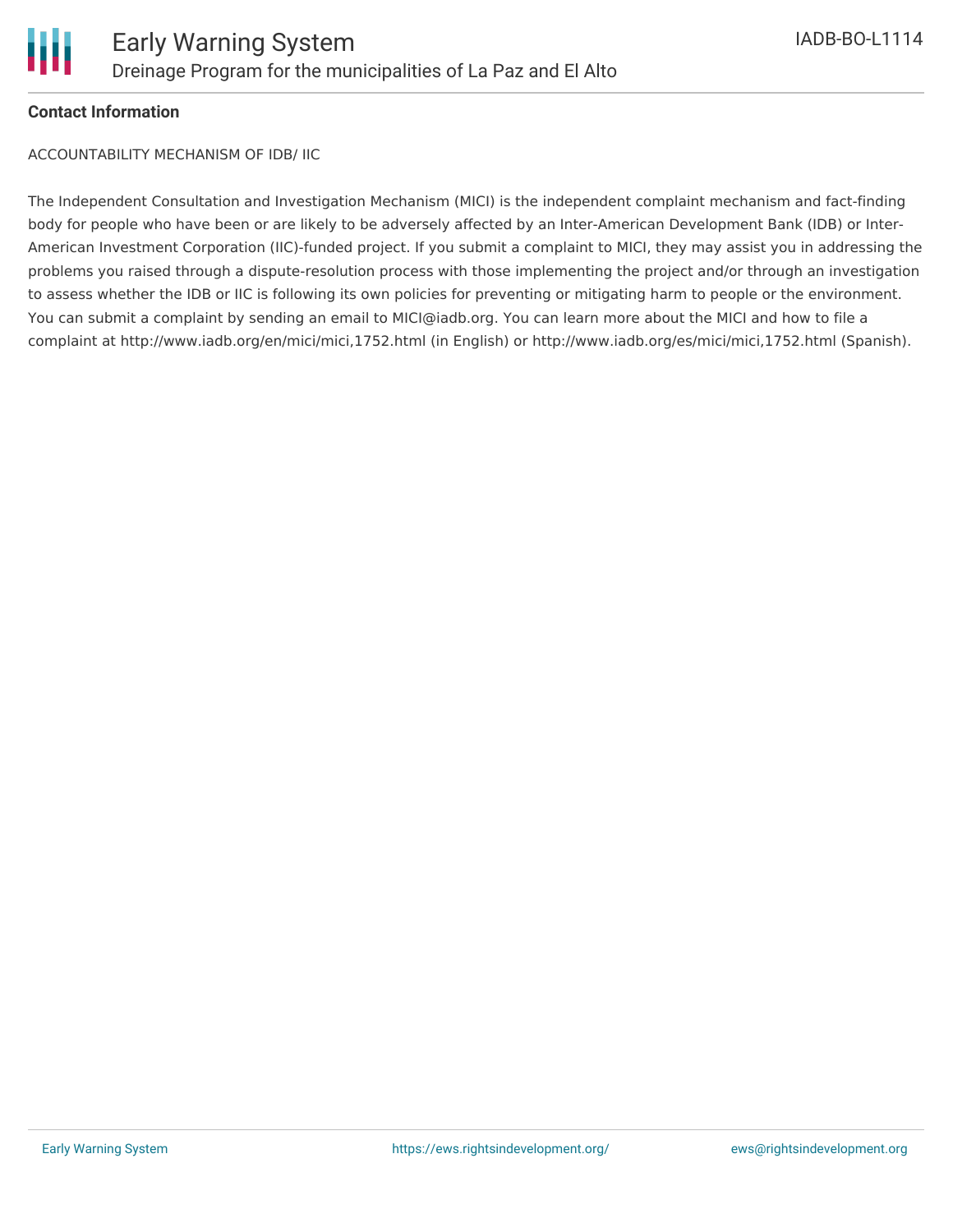

# **Contact Information**

ACCOUNTABILITY MECHANISM OF IDB/ IIC

The Independent Consultation and Investigation Mechanism (MICI) is the independent complaint mechanism and fact-finding body for people who have been or are likely to be adversely affected by an Inter-American Development Bank (IDB) or Inter-American Investment Corporation (IIC)-funded project. If you submit a complaint to MICI, they may assist you in addressing the problems you raised through a dispute-resolution process with those implementing the project and/or through an investigation to assess whether the IDB or IIC is following its own policies for preventing or mitigating harm to people or the environment. You can submit a complaint by sending an email to MICI@iadb.org. You can learn more about the MICI and how to file a complaint at http://www.iadb.org/en/mici/mici,1752.html (in English) or http://www.iadb.org/es/mici/mici,1752.html (Spanish).